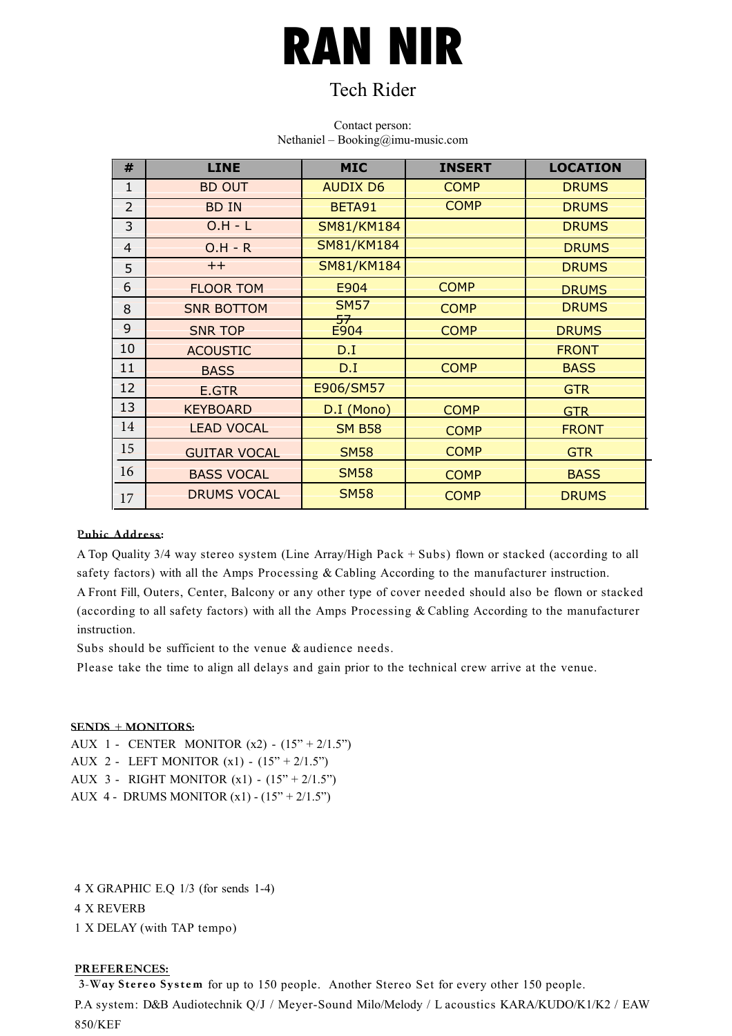# **RAN NIR**

### Tech Rider

#### Contact person: Nethaniel – Booking@imu-music.com

| #              | <b>LINE</b>         | <b>MIC</b>            | <b>INSERT</b> | <b>LOCATION</b> |
|----------------|---------------------|-----------------------|---------------|-----------------|
| $\mathbf{1}$   | <b>BD OUT</b>       | <b>AUDIX D6</b>       | <b>COMP</b>   | <b>DRUMS</b>    |
| $\overline{2}$ | <b>BD IN</b>        | BETA91                | <b>COMP</b>   | <b>DRUMS</b>    |
| $\overline{3}$ | $O.H - L$           | SM81/KM184            |               | <b>DRUMS</b>    |
| $\overline{4}$ | $O.H - R$           | <b>SM81/KM184</b>     |               | <b>DRUMS</b>    |
| 5              | <<                  | <b>SM81/KM184</b>     |               | <b>DRUMS</b>    |
| 6              | <b>FLOOR TOM</b>    | E904                  | <b>COMP</b>   | <b>DRUMS</b>    |
| 8              | <b>SNR BOTTOM</b>   | <b>SM57</b>           | <b>COMP</b>   | <b>DRUMS</b>    |
| 9              | <b>SNR TOP</b>      | <del>57</del><br>E904 | <b>COMP</b>   | <b>DRUMS</b>    |
| 10             | <b>ACOUSTIC</b>     | D.I                   |               | <b>FRONT</b>    |
| 11             | <b>BASS</b>         | D.I                   | <b>COMP</b>   | <b>BASS</b>     |
| 12             | E.GTR               | E906/SM57             |               | <b>GTR</b>      |
| 13             | <b>KEYBOARD</b>     | D.I (Mono)            | <b>COMP</b>   | <b>GTR</b>      |
| 14             | <b>LEAD VOCAL</b>   | <b>SM B58</b>         | <b>COMP</b>   | <b>FRONT</b>    |
| 15             | <b>GUITAR VOCAL</b> | <b>SM58</b>           | <b>COMP</b>   | <b>GTR</b>      |
| 16             | <b>BASS VOCAL</b>   | <b>SM58</b>           | <b>COMP</b>   | <b>BASS</b>     |
| 17             | <b>DRUMS VOCAL</b>  | <b>SM58</b>           | <b>COMP</b>   | <b>DRUMS</b>    |

#### Pubic Address:

A Top Quality 3/4 way stereo system (Line Array/High Pack + Subs) flown or stacked (according to all safety factors) with all the Amps Processing & Cabling According to the manufacturer instruction.

A Front Fill, Outers, Center, Balcony or any other type of cover needed should also be flown or stacked (according to all safety factors) with all the Amps Processing & Cabling According to the manufacturer instruction.

Subs should be sufficient to the venue & audience needs.

Please take the time to align all delays and gain prior to the technical crew arrive at the venue.

#### SENDS + MONITORS:

AUX 1 - CENTER MONITOR  $(x2)$  -  $(15'' + 2/1.5'')$ 

AUX 2 - LEFT MONITOR  $(x1)$  -  $(15" + 2/1.5")$ 

AUX 3 - RIGHT MONITOR (x1) - (15" + 2/1.5")

AUX 4 - DRUMS MONITOR  $(x1) - (15'' + 2/1.5'')$ 

4 X GRAPHIC E.Q 1/3 (for sends 1-4) 4 X REVERB 1 X DELAY (with TAP tempo)

#### PREFERENCES:

3-Way Stereo System for up to 150 people. Another Stereo Set for every other 150 people. P.A system: D&B Audiotechnik Q/J / Meyer-Sound Milo/Melody / L acoustics KARA/KUDO/K1/K2 / EAW 850/KEF